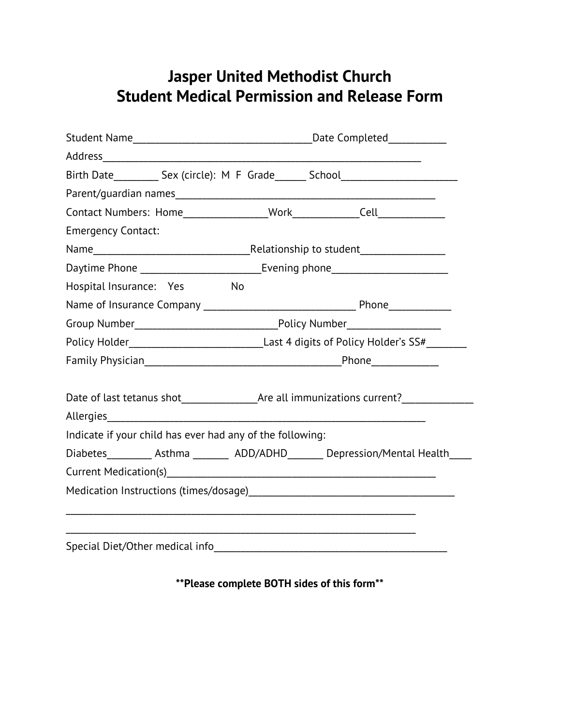## **Jasper United Methodist Church Student Medical Permission and Release Form**

| Birth Date____________ Sex (circle): M F Grade_______ School____________________ |                                                                                             |                                                                                      |  |
|----------------------------------------------------------------------------------|---------------------------------------------------------------------------------------------|--------------------------------------------------------------------------------------|--|
|                                                                                  |                                                                                             |                                                                                      |  |
|                                                                                  |                                                                                             |                                                                                      |  |
| <b>Emergency Contact:</b>                                                        |                                                                                             |                                                                                      |  |
|                                                                                  |                                                                                             |                                                                                      |  |
|                                                                                  | Daytime Phone ________________________________Evening phone_____________________            |                                                                                      |  |
| Hospital Insurance: Yes                                                          | No                                                                                          |                                                                                      |  |
|                                                                                  |                                                                                             |                                                                                      |  |
|                                                                                  |                                                                                             |                                                                                      |  |
|                                                                                  | Policy Holder_________________________________Last 4 digits of Policy Holder's SS#_________ |                                                                                      |  |
|                                                                                  |                                                                                             |                                                                                      |  |
|                                                                                  |                                                                                             |                                                                                      |  |
|                                                                                  |                                                                                             |                                                                                      |  |
| Indicate if your child has ever had any of the following:                        |                                                                                             |                                                                                      |  |
|                                                                                  |                                                                                             | Diabetes___________ Asthma __________ ADD/ADHD________ Depression/Mental Health_____ |  |
|                                                                                  |                                                                                             |                                                                                      |  |
|                                                                                  |                                                                                             |                                                                                      |  |
|                                                                                  |                                                                                             |                                                                                      |  |
| Special Diet/Other medical info                                                  |                                                                                             |                                                                                      |  |

**\*\*Please complete BOTH sides of this form\*\***